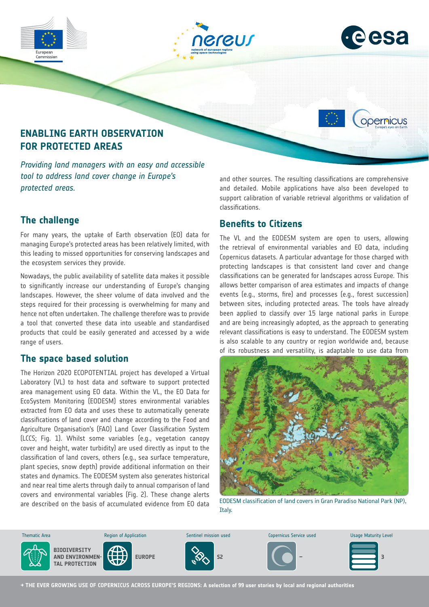

# **The challenge**

For many years, the uptake of Earth observation (EO) data for managing Europe's protected areas has been relatively limited, with this leading to missed opportunities for conserving landscapes and the ecosystem services they provide.

Nowadays, the public availability of satellite data makes it possible to significantly increase our understanding of Europe's changing landscapes. However, the sheer volume of data involved and the steps required for their processing is overwhelming for many and hence not often undertaken. The challenge therefore was to provide a tool that converted these data into useable and standardised products that could be easily generated and accessed by a wide range of users.

#### **The space based solution**

The Horizon 2020 ECOPOTENTIAL project has developed a Virtual Laboratory (VL) to host data and software to support protected area management using EO data. Within the VL, the EO Data for EcoSystem Monitoring (EODESM) stores environmental variables extracted from EO data and uses these to automatically generate classifications of land cover and change according to the Food and Agriculture Organisation's (FAO) Land Cover Classification System (LCCS; Fig. 1). Whilst some variables (e.g., vegetation canopy cover and height, water turbidity) are used directly as input to the classification of land covers, others (e.g., sea surface temperature, plant species, snow depth) provide additional information on their states and dynamics. The EODESM system also generates historical and near real time alerts through daily to annual comparison of land covers and environmental variables (Fig. 2). These change alerts are described on the basis of accumulated evidence from EO data the basis of accumulated evidence from EO data Environmental Management and Energy

### **Benefits to Citizens**

The VL and the EODESM system are open to users, allowing the retrieval of environmental variables and EO data, including Copernicus datasets. A particular advantage for those charged with protecting landscapes is that consistent land cover and change classifications can be generated for landscapes across Europe. This allows better comparison of area estimates and impacts of change events (e.g., storms, fire) and processes (e.g., forest succession) between sites, including protected areas. The tools have already been applied to classify over 15 large national parks in Europe and are being increasingly adopted, as the approach to generating relevant classifications is easy to understand. The EODESM system is also scalable to any country or region worldwide and, because of its robustness and versatility, is adaptable to use data from



EODESM classification of land covers in Gran Paradiso National Park (NP),



**→ THE EVER GROWING USE OF COPERNICUS ACROSS EUROPE'S REGIONS: A selection of 99 user stories by local and regional authorities**